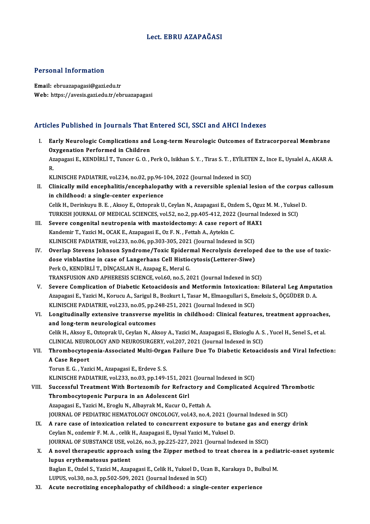#### Lect. EBRU AZAPAĞASI

#### Personal Information

Email: ebruazapagasi@gazi.edu.tr Web: https://avesis.gazi.edu.tr/ebruazapagasi

#### Articles Published in Journals That Entered SCI, SSCI and AHCI Indexes

rticles Published in Journals That Entered SCI, SSCI and AHCI Indexes<br>I. Early Neurologic Complications and Long-term Neurologic Outcomes of Extracorporeal Membrane<br>Ovveenstion Performed in Children Early Neurologic Complications and<br>Oxygenation Performed in Children<br>Aranagasi E. KENDIBLLT, Tungar C.O. Early Neurologic Complications and Long-term Neurologic Outcomes of Extracorporeal Membrane<br>Oxygenation Performed in Children<br>Azapagasi E., KENDİRLİ T., Tuncer G. O. , Perk O., Isikhan S. Y. , Tiras S. T. , EYİLETEN Z., In 0x<br>Az<br>R. Azapagasi E., KENDİRLİ T., Tuncer G. O. , Perk O., Isikhan S. Y. , Tiras S. T. , EYİLETE<br>R.<br>KLINISCHE PADIATRIE, vol.234, no.02, pp.96-104, 2022 (Journal Indexed in SCI)<br>Clinisally mild anganhalitis (anganhalanathy with a

R.<br>KLINISCHE PADIATRIE, vol.234, no.02, pp.96-104, 2022 (Journal Indexed in SCI)<br>II. Clinically mild encephalitis/encephalopathy with a reversible splenial lesion of the corpus callosum<br>in childbood: e single conter experi KLINISCHE PADIATRIE, vol.234, no.02, pp.96-104, 2022 (Journal Indexed in SCI)<br>Clinically mild encephalitis/encephalopathy with a reversible splenial lesion of the corpus<br>in childhood: a single-center experience<br>Celik H., D Clinically mild encephalitis/encephalopathy with a reversible splenial lesion of the corpus<br>in childhood: a single-center experience<br>Celik H., Derinkuyu B. E. , Aksoy E., Oztoprak U., Ceylan N., Azapagasi E., Ozdem S., Ogu in childhood: a single-center experience<br>Celik H., Derinkuyu B. E. , Aksoy E., Oztoprak U., Ceylan N., Azapagasi E., Ozdem S., Oguz M. M. , Yuksel<br>TURKISH JOURNAL OF MEDICAL SCIENCES, vol.52, no.2, pp.405-412, 2022 (Journa

- Celik H., Derinkuyu B. E., Aksoy E., Oztoprak U., Ceylan N., Azapagasi E., Ozdem S., Oguz<br>TURKISH JOURNAL OF MEDICAL SCIENCES, vol.52, no.2, pp.405-412, 2022 (Journal In<br>III. Severe congenital neutropenia with mastoidectom TURKISH JOURNAL OF MEDICAL SCIENCES, vol.52, no.2, pp.405-412, 2022<br>Severe congenital neutropenia with mastoidectomy: A case repor<br>Kandemir T., Yazici M., OCAK E., Azapagasi E., Oz F. N. , Fettah A., Aytekin C.<br>KLINISCHE P III. Severe congenital neutropenia with mastoidectomy: A case report of HAX1<br>Kandemir T., Yazici M., OCAK E., Azapagasi E., Oz F. N., Fettah A., Aytekin C.<br>KLINISCHE PADIATRIE, vol.233, no.06, pp.303-305, 2021 (Journal Ind
- Kandemir T., Yazici M., OCAK E., Azapagasi E., Oz F. N. , Fettah A., Aytekin C.<br>KLINISCHE PADIATRIE, vol.233, no.06, pp.303-305, 2021 (Journal Indexed in SCI)<br>IV. Overlap Stevens Johnson Syndrome/Toxic Epidermal Necrolysis KLINISCHE PADIATRIE, vol.233, no.06, pp.303-305, 2021 (Journal Indexed in SCI)<br>Overlap Stevens Johnson Syndrome/Toxic Epidermal Necrolysis develop<br>dose vinblastine in case of Langerhans Cell Histiocytosis(Letterer-Siwe)<br>Pe Overlap Stevens Johnson Syndrome/Toxic Epider<br>dose vinblastine in case of Langerhans Cell Histio<br>Perk O., KENDİRLİ T., DİNÇASLAN H., Azapag E., Meral G.<br>TRANSELISION AND ARHERESIS SCIENCE vel 60 no 5-24 dose vinblastine in case of Langerhans Cell Histiocytosis(Letterer-Siwe)<br>Perk O., KENDİRLİ T., DİNÇASLAN H., Azapag E., Meral G.<br>TRANSFUSION AND APHERESIS SCIENCE, vol.60, no.5, 2021 (Journal Indexed in SCI)
- V. Severe Complication of Diabetic Ketoacidosis and Metformin Intoxication: Bilateral Leg Amputation TRANSFUSION AND APHERESIS SCIENCE, vol.60, no.5, 2021 (Journal Indexed in SCI)<br>Severe Complication of Diabetic Ketoacidosis and Metformin Intoxication: Bilateral Leg Amput<br>Azapagasi E., Yazici M., Korucu A., Sarigul B., Bo Severe Complication of Diabetic Ketoacidosis and Metformin Intoxication<br>Azapagasi E., Yazici M., Korucu A., Sarigul B., Bozkurt I., Tasar M., Elmaogullari S., En<br>KLINISCHE PADIATRIE, vol.233, no.05, pp.248-251, 2021 (Journ Azapagasi E., Yazici M., Korucu A., Sarigul B., Bozkurt I., Tasar M., Elmaogullari S., Emeksiz S., ÖÇGÜDER D. A.<br>KLINISCHE PADIATRIE, vol.233, no.05, pp.248-251, 2021 (Journal Indexed in SCI)<br>VI. Longitudinally extensi
- KLINISCHE PADIATRIE, vol.233, no.05, pp.248-251, 2021 (Journal Indexed in SCI)<br>VI. Longitudinally extensive transverse myelitis in childhood: Clinical features, treatment approaches,<br>and long-term neurological outcomes Longitudinally extensive transverse myelitis in childhood: Clinical features, treatment approache<br>and long-term neurological outcomes<br>Celik H., Aksoy E., Oztoprak U., Ceylan N., Aksoy A., Yazici M., Azapagasi E., Eksioglu and long-term neurological outcomes<br>Celik H., Aksoy E., Oztoprak U., Ceylan N., Aksoy A., Yazici M., Azapagasi E., Eksioglu A. S<br>CLINICAL NEUROLOGY AND NEUROSURGERY, vol.207, 2021 (Journal Indexed in SCI)<br>Thrombogytoponia Celik H., Aksoy E., Oztoprak U., Ceylan N., Aksoy A., Yazici M., Azapagasi E., Eksioglu A. S. , Yucel H., Senel S., et al.<br>CLINICAL NEUROLOGY AND NEUROSURGERY, vol.207, 2021 (Journal Indexed in SCI)<br>VII. Thrombocytopen

### CLINICAL NEURO<br>Thrombocytop<br>A Case Report<br>Tomm E C - You Thrombocytopenia-Associated Multi-Orga<br>A Case Report<br>Torun E. G. , Yazici M., Azapagasi E., Erdeve S. S.<br>VLINISCHE BADIATRIE vol 222, no 02, nn 140 í A Case Report<br>Torun E. G. , Yazici M., Azapagasi E., Erdeve S. S.<br>KLINISCHE PADIATRIE, vol.233, no.03, pp.149-151, 2021 (Journal Indexed in SCI)<br>Suggessful Treatment With Bortazomih for Bofrastory and Complianted A

Torun E. G. , Yazici M., Azapagasi E., Erdeve S. S.<br>KLINISCHE PADIATRIE, vol.233, no.03, pp.149-151, 2021 (Journal Indexed in SCI)<br>VIII. Successful Treatment With Bortezomib for Refractory and Complicated Acquired Thrombot KLINISCHE PADIATRIE, vol.233, no.03, pp.149-151, 202:<br>Successful Treatment With Bortezomib for Refract<br>Thrombocytopenic Purpura in an Adolescent Girl<br>Aranagasi E. Varisi M. Enagly N. Albernak M. Kugur O. 1 Azapagasi E., Yazici M., Eroglu N., Albayrak M., Kucur O., Fettah A. Thrombocytopenic Purpura in an Adolescent Girl<br>Azapagasi E., Yazici M., Eroglu N., Albayrak M., Kucur O., Fettah A.<br>JOURNAL OF PEDIATRIC HEMATOLOGY ONCOLOGY, vol.43, no.4, 2021 (Journal Indexed in SCI)<br>A rare sase of inter Azapagasi E., Yazici M., Eroglu N., Albayrak M., Kucur O., Fettah A.<br>JOURNAL OF PEDIATRIC HEMATOLOGY ONCOLOGY, vol.43, no.4, 2021 (Journal Indexed in SCI)<br>IX. A rare case of intoxication related to concurrent exposure to b JOURNAL OF PEDIATRIC HEMATOLOGY ONCOLOGY, vol.43, no.4, 2021 (Journal of Arian case of intoxication related to concurrent exposure to but<br>Ceylan N., ozdemir F. M. A. , celik H., Azapagasi E., Uysal Yazici M., Yuksel D.<br>JOU A rare case of intoxication related to concurrent exposure to butane gas and<br>Ceylan N., ozdemir F. M. A. , celik H., Azapagasi E., Uysal Yazici M., Yuksel D.<br>JOURNAL OF SUBSTANCE USE, vol.26, no.3, pp.225-227, 2021 (Journa

JOURNAL OF SUBSTANCE USE, vol.26, no.3, pp.225-227, 2021 (Journal Indexed in SSCI)

Ceylan N., ozdemir F. M. A. , celik H., Azapagasi E., Uysal Yazici M., Yuksel D.<br>JOURNAL OF SUBSTANCE USE, vol.26, no.3, pp.225-227, 2021 (Journal Indexed in SSCI)<br>X. A novel therapeutic approach using the Zipper method to A novel therapeutic approach using the Zipper method to treat chorea in a pedia<br>lupus erythematosus patient<br>Baglan E., Ozdel S., Yazici M., Azapagasi E., Celik H., Yuksel D., Ucan B., Karakaya D., Bulbul M.<br>UIBUS vol 30 no

lupus erythematosus patient<br>Baglan E., Ozdel S., Yazici M., Azapagasi E., Celik H., Yuksel D., Uca<br>LUPUS, vol.30, no.3, pp.502-509, 2021 (Journal Indexed in SCI)<br>Agute peerotiring ancenhelenethy of childheed: e single Baglan E., Ozdel S., Yazici M., Azapagasi E., Celik H., Yuksel D., Ucan B., Karakaya D., Bul<br>LUPUS, vol.30, no.3, pp.502-509, 2021 (Journal Indexed in SCI)<br>XI. Acute necrotizing encephalopathy of childhood: a single-center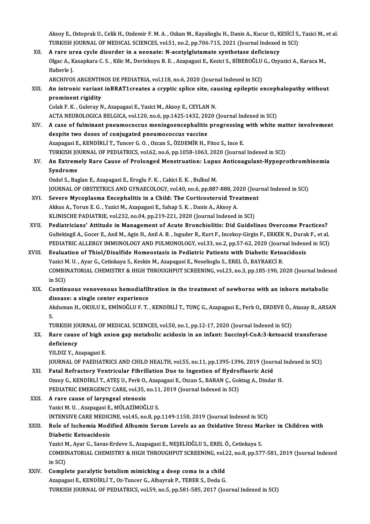Aksoy E., Oztoprak U., Celik H., Ozdemir F. M. A. , Ozkan M., Kayalioglu H., Danis A., Kucur O., KESİCİ S., Yazici M., et al.<br>TURKISH JOURNAL OF MEDICAL SCIENCES XRLE1, R9 3, RR 706 715, 2021 (Journal Indoved in SCI). Aksoy E., Oztoprak U., Celik H., Ozdemir F. M. A. , Ozkan M., Kayalioglu H., Danis A., Kucur O., KESİCİ S.<br>TURKISH JOURNAL OF MEDICAL SCIENCES, vol.51, no.2, pp.706-715, 2021 (Journal Indexed in SCI)<br>A rane uree svele dise Aksoy E., Oztoprak U., Celik H., Ozdemir F. M. A., Ozkan M., Kayalioglu H., Danis A., Kucur O., K<br>TURKISH JOURNAL OF MEDICAL SCIENCES, vol.51, no.2, pp.706-715, 2021 (Journal Indexed<br>XII. A rare urea cycle disorder in a ne

TURKISH JOURNAL OF MEDICAL SCIENCES, vol.51, no.2, pp.706-715, 2021 (Journal Indexed in SCI)<br>A rare urea cycle disorder in a neonate: N-acetylglutamate synthetase deficiency<br>Olgac A., Kasapkara C. S. , Kilic M., Derinkuyu **A rare un<br>Olgac A., K<br>Haberle J.<br>ARCHIVOS** Olgac A., Kasapkara C. S. , Kilic M., Derinkuyu B. E. , Azapagasi E., Kesici S., BİBEROĞLU<br>Haberle J.<br>ARCHIVOS ARGENTINOS DE PEDIATRIA, vol.118, no.6, 2020 (Journal Indexed in SCI)<br>An intronis variant inPPAT1 graates a syu

Haberle J.<br>ARCHIVOS ARGENTINOS DE PEDIATRIA, vol.118, no.6, 2020 (Journal Indexed in SCI)<br>XIII. An intronic variant inBRAT1creates a cryptic splice site, causing epileptic encephalopathy without<br>prominent rigidity ARCHIVOS ARGENTIN<br>An intronic variant<br>prominent rigidity<br>Colak E K - Cularay N An intronic variant inBRAT1creates a cryptic splice site, ca<br>prominent rigidity<br>Colak F. K. , Guleray N., Azapagasi E., Yazici M., Aksoy E., CEYLAN N.<br>ACTA NEUPOLOGICA PELGICA vol.130, no.6, np.1425, 1422, 2020.

prominent rigidity<br>Colak F. K. , Guleray N., Azapagasi E., Yazici M., Aksoy E., CEYLAN N.<br>ACTA NEUROLOGICA BELGICA, vol.120, no.6, pp.1425-1432, 2020 (Journal Indexed in SCI)<br>A sase of fulminant proumosossus moningoonsopha

- Colak F. K., Guleray N., Azapagasi E., Yazici M., Aksoy E., CEYLAN N.<br>ACTA NEUROLOGICA BELGICA, vol.120, no.6, pp.1425-1432, 2020 (Journal Indexed in SCI)<br>XIV. A case of fulminant pneumococcus meningoencephalitis progressi ACTA NEUROLOGICA BELGICA, vol.120, no.6, pp.1425-1432, 20.<br>A case of fulminant pneumococcus meningoencephalitis<br>despite two doses of conjugated pneumococcus vaccine<br>Aranagasi E. KENDIBLLT, Tungar C.O., Organ S. ÖZDEMİR H. A case of fulminant pneumococcus meningoencephalitis progressing<br>despite two doses of conjugated pneumococcus vaccine<br>Azapagasi E., KENDİRLİ T., Tuncer G. O. , Ozcan S., ÖZDEMİR H., Fitoz S., Ince E.<br>TURKISH JOURNAL OF RED despite two doses of conjugated pneumococcus vaccine<br>Azapagasi E., KENDİRLİ T., Tuncer G. O. , Ozcan S., ÖZDEMİR H., Fitoz S., Ince E.<br>TURKISH JOURNAL OF PEDIATRICS, vol.62, no.6, pp.1058-1063, 2020 (Journal Indexed in SCI Azapagasi E., KENDİRLİ T., Tuncer G. O. , Ozcan S., ÖZDEMİR H., Fitoz S., Ince E.<br>TURKISH JOURNAL OF PEDIATRICS, vol.62, no.6, pp.1058-1063, 2020 (Journal Indexed in SCI)<br>XV. An Extremely Rare Cause of Prolonged Menstr
- TURKISH JO<br>An Extrem<br>Syndrome<br>Ordel S. Bas An Extremely Rare Cause of Prolonged Menstruation: Lupu<br>Syndrome<br>Ozdel S., Baglan E., Azapagasi E., Eroglu F. K. , Cakici E. K. , Bulbul M.<br>JOUPMAL OF OPSTETPICS AND CYMAECOLOCY vol.40 no.6 np.997 S**yndrome**<br>Ozdel S., Baglan E., Azapagasi E., Eroglu F. K. , Cakici E. K. , Bulbul M.<br>JOURNAL OF OBSTETRICS AND GYNAECOLOGY, vol.40, no.6, pp.887-888, 2020 (Journal Indexed in SCI)

Ozdel S., Baglan E., Azapagasi E., Eroglu F. K., Cakici E. K., Bulbul M.<br>JOURNAL OF OBSTETRICS AND GYNAECOLOGY, vol.40, no.6, pp.887-888, 2020 (Jour<br>XVI. Severe Mycoplasma Encephalitis in a Child: The Corticosteroid Treatm JOURNAL OF OBSTETRICS AND GYNAECOLOGY, vol.40, no.6, pp.887-888, 20<br>Severe Mycoplasma Encephalitis in a Child: The Corticosteroid Tre<br>Akkus A., Torun E. G. , Yazici M., Azapagasi E., Sahap S. K. , Danis A., Aksoy A.<br>KLINIS Severe Mycoplasma Encephalitis in a Child: The Corticosteroid Treatmen<br>Akkus A., Torun E. G. , Yazici M., Azapagasi E., Sahap S. K. , Danis A., Aksoy A.<br>KLINISCHE PADIATRIE, vol.232, no.04, pp.219-221, 2020 (Journal Indexe Akkus A., Torun E. G. , Yazici M., Azapagasi E., Sahap S. K. , Danis A., Aksoy A.<br>KLINISCHE PADIATRIE, vol.232, no.04, pp.219-221, 2020 (Journal Indexed in SCI)<br>XVII. Pediatricians' Attitude in Management of Acute Bronchio

- GultekingilA.,Gocer E.,AnilM.,AginH.,AnilA.B. , IsguderR.,KurtF., Incekoy-GirginF.,ERKEKN.,DurakF.,etal. Pediatricians' Attitude in Management of Acute Bronchiolitis: Did Guidelines Overcome Practices?<br>Gultekingil A., Gocer E., Anil M., Agin H., Anil A. B. , Isguder R., Kurt F., Incekoy-Girgin F., ERKEK N., Durak F., et al.<br>P Gultekingil A., Gocer E., Anil M., Agin H., Anil A. B., Isguder R., Kurt F., Incekoy-Girgin F., ERKEK N., Dural<br>PEDIATRIC ALLERGY IMMUNOLOGY AND PULMONOLOGY, vol.33, no.2, pp.57-62, 2020 (Journal Indexe<br>XVIII. Evaluation o
- PEDIATRIC ALLERGY IMMUNOLOGY AND PULMONOLOGY, vol.33, no.2, pp.57-62, 2020 (Journ<br>Evaluation of Thiol/Disulfide Homeostasis in Pediatric Patients with Diabetic Keto:<br>Yazici M. U. , Ayar G., Cetinkaya S., Keskin M., Azapaga Evaluation of Thiol/Disulfide Homeostasis in Pediatric Patients with Diabetic Ketoacidosis<br>Yazici M. U. , Ayar G., Cetinkaya S., Keskin M., Azapagasi E., Neselioglu S., EREL Ö., BAYRAKCİ B.<br>COMBINATORIAL CHEMISTRY & HIGH T Yazici M. U., Ayar G., Cetinkaya S., Keskin M., Azapagasi E., Neselioglu S., EREL Ö., BAYRAKCİ B. COMBINATORIAL CHEMISTRY & HIGH THROUGHPUT SCREENING, vol.23, no.3, pp.185-190, 2020 (Journal Index<br>in SCI)<br>XIX. Continuous venovenous hemodiafiltration in the treatment of newborns with an inborn metabolic<br>diseases a singl
- in SCI)<br>Continuous venovenous hemodiafili<br>disease: a single center experience<br>Alduman H. OVIII U.E. EMİNOČULE T. Continuous venovenous hemodiafiltration in the treatment of newborns with an inborn metabolic<br>disease: a single center experience<br>Akduman H., OKULU E., EMİNOĞLU F. T. , KENDİRLİ T., TUNÇ G., Azapagasi E., Perk O., ERDEVE Ö

di<br>Al<br>Tu Akduman H., OKULU E., EMİNOĞLU F. T. , KENDİRLİ T., TUNÇ G., Azapagasi E., Perk O., ERDEVE Ö., .<br>S.<br>TURKISH JOURNAL OF MEDICAL SCIENCES, vol.50, no.1, pp.12-17, 2020 (Journal Indexed in SCI)<br>Para sausa of birb anian san ma

### S.<br>TURKISH JOURNAL OF MEDICAL SCIENCES, vol.50, no.1, pp.12-17, 2020 (Journal Indexed in SCI)<br>XX. Rare cause of high anion gap metabolic acidosis in an infant: Succinyl-CoA:3-ketoacid transferase<br>deficiency TURKISH JOURNAL OF MEDICAL SCIENCES, vol.50, no.1, pp.12-17, 2020 (Journal Indexed in SCI)<br>Rare cause of high anion gap metabolic acidosis in an infant: Succinyl-CoA:3-ketoacid<br>deficiency<br>YILDIZ Y., Azapagasi E. Rare cause of high a<br>deficiency<br>YILDIZ Y., Azapagasi E.<br>JOUPMAL OF BAEDIATI

JOURNAL OF PAEDIATRICS AND CHILD HEALTH, vol.55, no.11, pp.1395-1396, 2019 (Journal Indexed in SCI)

#### YILDIZ Y., Azapagasi E.<br>JOURNAL OF PAEDIATRICS AND CHILD HEALTH, vol.55, no.11, pp.1395-1396, 2019 (Jour<br>XXI. Fatal Refractory Ventricular Fibrillation Due to Ingestion of Hydrofluoric Acid JOURNAL OF PAEDIATRICS AND CHILD HEALTH, vol.55, no.11, pp.1395-1396, 2019 (Journal<br>Fatal Refractory Ventricular Fibrillation Due to Ingestion of Hydrofluoric Acid<br>Ozsoy G., KENDİRLİ T., ATEŞ U., Perk O., Azapagasi E., Ozc Fatal Refractory Ventricular Fibrillation Due to Ingestion of Hydro<br>Ozsoy G., KENDİRLİ T., ATEŞ U., Perk O., Azapagasi E., Ozcan S., BARAN Ç., Gol<br>PEDIATRIC EMERGENCY CARE, vol.35, no.11, 2019 (Journal Indexed in SCI)<br>A ra Ozsoy G., KENDİRLİ T., ATEŞ U., Perk O., Azapagasi E., Ozcan S., BARAN Ç., Goktug A., Dindar H.<br>PEDIATRIC EMERGENCY CARE, vol.35, no.11, 2019 (Journal Indexed in SCI)<br>XXII. A rare cause of laryngeal stenosis<br>Yazici M. PEDIATRIC EMERGENCY CARE, vol.35, no.11, 2019 (Journal Indexed in SCI)

## A rare cause of laryngeal stenosis<br>Yazici M. U. , Azapagasi E., MÜLAZİMOĞLU S.<br>INTENSIVE CARE MEDICINE, vol.45, no.8, pp.1149-1150, 2019 (Journal Indexed in SCI)<br>Polo of Ischemia Medified Albumin Senum Levels as an Ovideti Yazici M. U. , Azapagasi E., MÜLAZİMOĞLU S.<br>INTENSIVE CARE MEDICINE, vol.45, no.8, pp.1149-1150, 2019 (Journal Indexed in SCI)<br>XXIII. Role of Ischemia Modified Albumin Serum Levels as an Oxidative Stress Marker in Chil

## **INTENSIVE CARE MEDIC<br>Role of Ischemia Modi<br>Diabetic Ketoacidosis**<br>Varisi M. Avar C. Savas I Role of Ischemia Modified Albumin Serum Levels as an Oxidative Stress Ma<br>Diabetic Ketoacidosis<br>Yazici M., Ayar G., Savas-Erdeve S., Azapagasi E., NEŞELİOĞLU S., EREL Ö., Cetinkaya S.<br>COMBINATORIAL CHEMISTRY & HICH THROUCHB

Diabetic Ketoacidosis<br>Yazici M., Ayar G., Savas-Erdeve S., Azapagasi E., NEŞELİOĞLU S., EREL Ö., Cetinkaya S.<br>COMBINATORIAL CHEMISTRY & HIGH THROUGHPUT SCREENING, vol.22, no.8, pp.577-581, 2019 (Journal Indexed<br>in SCD Yazici M<br>COMBII<br>in SCI)<br>Compl COMBINATORIAL CHEMISTRY & HIGH THROUGHPUT SCREENING, vol.<br>in SCI)<br>XXIV. Complete paralytic botulism mimicking a deep coma in a child<br>Agapagasi E. KENDIBLLT, Og Tunger C. Albaumak B. TEBER S. Dodo C.

in SCI)<br>Complete paralytic botulism mimicking a deep coma in a child<br>Azapagasi E., KENDİRLİ T., Oz-Tuncer G., Albayrak P., TEBER S., Deda G. TURKISH JOURNAL OF PEDIATRICS, vol.59, no.5, pp.581-585, 2017 (Journal Indexed in SCI)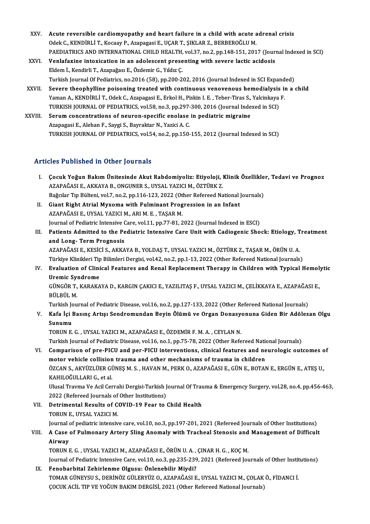- XXV. Acute reversible cardiomyopathy and heart failure in a child with acute adrenal crisis Acute reversible cardiomyopathy and heart failure in a child with acute a<br>Odek C., KENDİRLİ T., Kocaay P., Azapagasi E., UÇAR T., ŞIKLAR Z., BERBEROĞLU M.<br>RAEDIATRICS AND INTERNATIONAL CHU D.HEALTH vol 27, p.e.2, p.p.149,1 Acute reversible cardiomyopathy and heart failure in a child with acute adrenal crisis<br>Odek C., KENDİRLİ T., Kocaay P., Azapagasi E., UÇAR T., ŞIKLAR Z., BERBEROĞLU M.<br>PAEDIATRICS AND INTERNATIONAL CHILD HEALTH, vol.37, no Odek C., KENDİRLİ T., Kocaay P., Azapagasi E., UÇAR T., ŞIKLAR Z., BERBEROĞLU M.<br>PAEDIATRICS AND INTERNATIONAL CHILD HEALTH, vol.37, no.2, pp.148-151, 2017 (Jour:<br>XXVI. Venlafaxine intoxication in an adolescent presenting
- PAEDIATRICS AND INTERNATIONAL CHILD HEALTH,<br>Venlafaxine intoxication in an adolescent prese<br>Eldem İ., Kendirli T., Azapağası E., Özdemir G., Yıldız Ç.<br>Turkich Journal Of Pediatrics no 2016 (58), nn 200-2. XXVI. Venlafaxine intoxication in an adolescent presenting with severe lactic acidosis<br>Eldem İ., Kendirli T., Azapağası E., Özdemir G., Yıldız Ç.<br>Turkish Journal Of Pediatrics, no.2016 (58), pp.200-202, 2016 (Journal Index Eldem İ., Kendirli T., Azapağası E., Özdemir G., Yıldız Ç.<br>Turkish Journal Of Pediatrics, no.2016 (58), pp.200-202, 2016 (Journal Indexed in SCI Expanded)<br>XXVII. Severe theophylline poisoning treated with continuous venove
- Turkish Journal Of Pediatrics, no.2016 (58), pp.200-202, 2016 (Journal Indexed in SCI Expand<br>Severe theophylline poisoning treated with continuous venovenous hemodialysis in<br>Yaman A., KENDİRLİ T., Odek C., Azapagasi E., Er Severe theophylline poisoning treated with continuous venovenous hemodialysis<br>Yaman A., KENDİRLİ T., Odek C., Azapagasi E., Erkol H., Piskin I. E. , Teber-Tiras S., Yalcinkaya<br>TURKISH JOURNAL OF PEDIATRICS, vol.58, no.3, p Yaman A., KENDİRLİ T., Odek C., Azapagasi E., Erkol H., Piskin I. E. , Teber-Tiras S., Yalcinkaya F.<br>TURKISH JOURNAL OF PEDIATRICS, vol.58, no.3, pp.297-300, 2016 (Journal Indexed in SCI)<br>XXVIII. Serum concentrations of ne

TURKISH JOURNAL OF PEDIATRICS, vol.58, no.3, pp.297-<br>Serum concentrations of neuron-specific enolase<br>Azapagasi E., Alehan F., Saygi S., Bayraktar N., Yazici A. C.<br>TURKISH JOURNAL OF REDIATRICS vol.54, no.3, nn.150. TURKISH JOURNAL OF PEDIATRICS, vol.54, no.2, pp.150-155, 2012 (Journal Indexed in SCI)

#### Articles Published in Other Journals

- rticles Published in Other Journals<br>I. Cocuk Yoğun Bakım Ünitesinde Akut Rabdomiyoliz: Etiyoloji, Klinik Özellikler, Tedavi ve Prognoz<br>AZARAČASLE AKKAYA B. ONCUNER S. UYSAL YAZICLM, ÖZTÜRK Z 2009 - ABABACA AR SCHOF JOAFAAB<br>Cocuk Yoğun Bakım Ünitesinde Akut Rabdomiyoliz: Etiyoloji, 1<br>AZAPAĞASI E., AKKAYA B., ONGUNER S., UYSAL YAZICI M., ÖZTÜRK Z.<br>Beğalar Tıp Bültəni vel 7, nə 2, np.116,122,2022 (Other Refereed Çocuk Yoğun Bakım Ünitesinde Akut Rabdomiyoliz: Etiyoloji, Klinik Özellikle<br>AZAPAĞASI E., AKKAYA B., ONGUNER S., UYSAL YAZICI M., ÖZTÜRK Z.<br>Bağcılar Tıp Bülteni, vol.7, no.2, pp.116-123, 2022 (Other Refereed National Journ AZAPAĞASI E., AKKAYA B., ONGUNER S., UYSAL YAZICI M., ÖZTÜRK Z.<br>Bağcılar Tıp Bülteni, vol.7, no.2, pp.116-123, 2022 (Other Refereed National ]<br>II. Giant Right Atrial Myxoma with Fulminant Progression in an Infant<br>AZAPAĞASI
- Bağcılar Tıp Bülteni, vol.7, no.2, pp.116-123, 2022 (Ot<br>Giant Right Atrial Myxoma with Fulminant Prog<br>AZAPAĞASI E., UYSAL YAZICI M., ARI M. E. , TAŞAR M.<br>Journal of Bodiatric Intonsive Gare vol 11. pp.77.91-2 AZAPAĞASI E., UYSAL YAZICI M., ARI M. E. , TAŞAR M.<br>Journal of Pediatric Intensive Care, vol.11, pp.77-81, 2022 (Journal Indexed in ESCI)
- AZAPAĞASI E., UYSAL YAZICI M., ARI M. E. , TAŞAR M.<br>Journal of Pediatric Intensive Care, vol.11, pp.77-81, 2022 (Journal Indexed in ESCI)<br>III. Patients Admitted to the Pediatric Intensive Care Unit with Cadiogenic Shock: E Journal of Pediatric Intensive (<br>Patients Admitted to the Pe<br>and Long- Term Prognosis<br>AZAPAČASI E VESICI S AVVA Patients Admitted to the Pediatric Intensive Care Unit with Cadiogenic Shock: Etiology, T<br>and Long- Term Prognosis<br>AZAPAĞASI E., KESİCİ S., AKKAYA B., YOLDAŞ T., UYSAL YAZICI M., ÖZTÜRK Z., TAŞAR M., ÖRÜN U. A.<br>Türkiye Kli

and Long- Term Prognosis<br>AZAPAĞASI E., KESİCİ S., AKKAYA B., YOLDAŞ T., UYSAL YAZICI M., ÖZTÜRK Z., TAŞAR M., ÖRÜN U. A.<br>Türkiye Klinikleri Tip Bilimleri Dergisi, vol.42, no.2, pp.1-13, 2022 (Other Refereed National Journa

AZAPAĞASI E., KESİCİ S., AKKAYA B., YOLDAŞ T., UYSAL YAZICI M., ÖZTÜRK Z., TAŞAR M., ÖRÜN U. A.<br>Türkiye Klinikleri Tip Bilimleri Dergisi, vol.42, no.2, pp.1-13, 2022 (Other Refereed National Journals)<br>IV. Evaluation of Cli Türkiye Klinikleri Tip<br>Evaluation of Clini<br>Uremic Syndrome<br>CÜNCÖP T. KARAKA Evaluation of Clinical Features and Renal Replacement Therapy in Children with Typical Hemol:<br>Uremic Syndrome<br>GÜNGÖR T., KARAKAYA D., KARGIN ÇAKICI E., YAZILITAŞ F., UYSAL YAZICI M., ÇELİKKAYA E., AZAPAĞASI E.,<br>PÜLPÜL M

<mark>Uremic Sy</mark>ı<br>GÜNGÖR T.,<br>BÜLBÜL M.<br>Turkish Lev GÜNGÖR T., KARAKAYA D., KARGIN ÇAKICI E., YAZILITAŞ F., UYSAL YAZICI M., ÇELİKKAYA E., AZAPAĞAS<br>BÜLBÜL M.<br>Turkish Journal of Pediatric Disease, vol.16, no.2, pp.127-133, 2022 (Other Refereed National Journals)<br>Kafa İsi Bas

Turkish Journal of Pediatric Disease, vol.16, no.2, pp.127-133, 2022 (Other Refereed National Journals)

BÜLBÜL M.<br>Turkish Journal of Pediatric Disease, vol.16, no.2, pp.127-133, 2022 (Other Refereed National Journals)<br>V. Kafa İçi Basınç Artışı Sendromundan Beyin Ölümü ve Organ Donasyonuna Giden Bir Adölesan Olgu<br>Sunumu Sunumu<br>TORUN E. G. , UYSAL YAZICI M., AZAPAĞASI E., ÖZDEMİR F. M. A. , CEYLAN N.<br>Turkish Journal of Pediatric Disease, vol.16, no.1, pp.75-78, 2022 (Other Refereed National Journals)<br>Comparison of pro BICU and por BICU int

TORUNE.G. ,UYSAL YAZICIM.,AZAPAĞASIE.,ÖZDEMİRF.M.A. ,CEYLANN.

TORUN E. G. , UYSAL YAZICI M., AZAPAĞASI E., ÖZDEMİR F. M. A. , CEYLAN N.<br>Turkish Journal of Pediatric Disease, vol.16, no.1, pp.75-78, 2022 (Other Refereed National Journals)<br>VI. Comparison of pre-PICU and per-PICU interv Turkish Journal of Pediatric Disease, vol.16, no.1, pp.75-78, 2022 (Other Refereed National Comparison of pre-PICU and per-PICU interventions, clinical features and ne<br>motor vehicle collision trauma and other mechanisms of Comparison of pre-PICU and per-PICU interventions, clinical features and neurologic outcomes o<br>motor vehicle collision trauma and other mechanisms of trauma in children<br>ÖZCAN S., AKYÜZLÜER GÜNEŞ M. S. , HAVAN M., PERK O., motor vehicle collision trauma and other mechanisms of trauma in children<br>ÖZCAN S., AKYÜZLÜER GÜNEŞ M. S. , HAVAN M., PERK O., AZAPAĞASI E., GÜN E., BOTAN E., ERGÜN E., ATEŞ U.,<br>KAHILOĞULLARI G., et al. ÖZCAN S., AKYÜZLÜER GÜNEŞ M. S. , HAVAN M., PERK O., AZAPAĞASI E., GÜN E., BOTAN E., ERGÜN E., ATEŞ U.,<br>KAHILOĞULLARI G., et al.<br>Ulusal Travma Ve Acil Cerrahi Dergisi-Turkish Journal Of Trauma & Emergency Surgery, vol.28,

KAHILOĞULLARI G., et al.<br>Ulusal Travma Ve Acil Cerrahi Dergisi-Turkish J<br>2022 (Refereed Journals of Other Institutions)<br>Detrimental Besults of COVID 19 Fear to t Ulusal Travma Ve Acil Cerrahi Dergisi-Turkish Journal Of Tra<br>2022 (Refereed Journals of Other Institutions)<br>VII. Detrimental Results of COVID-19 Fear to Child Health<br>TOPUN E UVSAL VAZICLM

2022 (Refereed Journals of<br>Detrimental Results of C<br>TORUN E., UYSAL YAZICI M.<br>Journal of podiatris intensive TORUN E., UYSAL YAZICI M.<br>Journal of pediatric intensive care, vol.10, no.3, pp.197-201, 2021 (Refereed Journals of Other Institutions) TORUN E., UYSAL YAZICI M.<br>Journal of pediatric intensive care, vol.10, no.3, pp.197-201, 2021 (Refereed Journals of Other Institutions)<br>VIII. A Case of Pulmonary Artery Sling Anomaly with Tracheal Stenosis and Management o

Journal<br><mark>A Case</mark><br>Airway<br>TOPUN I A Case of Pulmonary Artery Sling Anomaly with Tracheal Stenosis and<br>Airway<br>TORUN E. G. , UYSAL YAZICI M., AZAPAĞASI E., ÖRÜN U. A. , ÇINAR H. G. , KOÇ M.<br>Journal of Bodistria Intensive Care val 10 ne 2 nn 225 220 2021 (Bef

Airway<br>TORUN E. G. , UYSAL YAZICI M., AZAPAĞASI E., ÖRÜN U. A. , ÇINAR H. G. , KOÇ M.<br>Journal of Pediatric Intensive Care, vol.10, no.3, pp.235-239, 2021 (Refereed Journals of Other Institutions)<br>Eanobarhital Zohirlanme Ol TORUN E. G. , UYSAL YAZICI M., AZAPAĞASI E., ÖRÜN U. A. , ÇINAR H. G. , KOÇ M.<br>Journal of Pediatric Intensive Care, vol.10, no.3, pp.235-239, 2021 (Refereed Journals of Other Instit<br>IX. Fenobarbital Zehirlenme Olgusu: Önle Journal of Pediatric Intensive Care, vol.10, no.3, pp.235-239, 2021 (Refereed Journals of Other Instit<br>Fenobarbital Zehirlenme Olgusu: Önlenebilir Miydi?<br>TOMAR GÜNEYSU S., DERİNÖZ GÜLERYÜZ O., AZAPAĞASI E., UYSAL YAZICI M.

ÇOCUK ACİL TIP VE YOĞUN BAKIM DERGİSİ, 2021 (Other Refereed National Journals)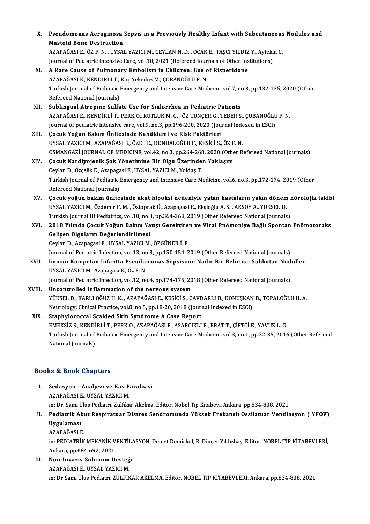| X.    | Pseudomonas Aeruginosa Sepsis in a Previously Healthy Infant with Subcutaneous Nodules and                      |
|-------|-----------------------------------------------------------------------------------------------------------------|
|       | <b>Mastoid Bone Destruction</b>                                                                                 |
|       | AZAPAĞASI E., ÖZ F. N., UYSAL YAZICI M., CEYLAN N. D., OCAK E., TAŞCI YILDIZ Y., Aytekin C.                     |
|       | Journal of Pediatric Intensive Care, vol.10, 2021 (Refereed Journals of Other Institutions)                     |
| XI.   | A Rare Cause of Pulmonary Embolism in Children: Use of Risperidone                                              |
|       | AZAPAĞASI E., KENDİRLİ T., Koç Yekedüz M., ÇOBANOĞLU F. N.                                                      |
|       | Turkish Journal of Pediatric Emergency and Intensive Care Medicine, vol.7, no.3, pp.132-135, 2020 (Other        |
|       | Refereed National Journals)                                                                                     |
| XII.  | Sublingual Atropine Sulfate Use for Sialorrhea in Pediatric Patients                                            |
|       | AZAPAĞASI E., KENDİRLİ T., PERK O., KUTLUK M. G., ÖZ TUNÇER G., TEBER S., ÇOBANOĞLU F. N.                       |
|       | Journal of pediatric intensive care, vol.9, no.3, pp.196-200, 2020 (Journal Indexed in ESCI)                    |
| XIII. | Çocuk Yoğun Bakım Ünitesinde Kandidemi ve Risk Faktörleri                                                       |
|       | UYSAL YAZICI M., AZAPAĞASI E., ÖZEL E., DONBALOĞLU F., KESİCİ S., ÖZ F. N.                                      |
|       | OSMANGAZİ JOURNAL OF MEDICINE, vol.42, no.3, pp.264-268, 2020 (Other Refereed National Journals)                |
| XIV.  | Çocuk Kardiyojenik Şok Yönetimine Bir Olgu Üzerinden Yaklaşım                                                   |
|       | Ceylan D., Özçelik E., Azapagasi E., UYSAL YAZICI M., Yoldaş T.                                                 |
|       | Turkish Journal of Pediatric Emergency and Intensive Care Medicine, vol.6, no.3, pp.172-174, 2019 (Other        |
|       | Refereed National Journals)                                                                                     |
| XV.   | Çocuk yoğun bakım ünitesinde akut hipoksi nedeniyle yatan hastaların yakın dönem nörolojik takibi               |
|       | UYSAL YAZICI M., Özdemir F. M., Öztoprak Ü., Azapagasi E., Ekşioğlu A. S., AKSOY A., YÜKSEL D.                  |
|       | Turkish Journal Of Pediatrics, vol.10, no.3, pp.364-368, 2019 (Other Refereed National Journals)                |
| XVI.  | 2018 Yılında Çocuk Yoğun Bakım Yatışı Gerektiren ve Viral Pnömoniye Bağlı Spontan Pnömotoraks                   |
|       | Gelişen Olguların Değerlendirilmesi                                                                             |
|       | Ceylan D., Azapagasi E., UYSAL YAZICI M., ÖZGÜNER İ. F.                                                         |
|       | Journal of Pediatric Infection, vol.13, no.3, pp.150-154, 2019 (Other Refereed National Journals)               |
| XVII. | İmmün Kompetan İnfantta Pseudomonas Sepsisinin Nadir Bir Belirtisi: Subkütan Nodüller                           |
|       | UYSAL YAZICI M., Azapagasi E., Öz F. N.                                                                         |
|       | Journal of Pediatric Infection, vol.12, no.4, pp.174-175, 2018 (Other Refereed National Journals)               |
| XVIII | Uncontrolled inflammation of the nervous system                                                                 |
|       | YÜKSEL D., KARLI OĞUZ H. K., AZAPAĞASI E., KESİCİ S., ÇAVDARLI B., KONUŞKAN B., TOPALOĞLU H. A.                 |
|       | Neurology: Clinical Practice, vol.8, no.5, pp.18-20, 2018 (Journal Indexed in ESCI)                             |
| XIX.  | Staphylococcal Scalded Skin Syndrome A Case Report                                                              |
|       | EMEKSİZ S., KENDİRLİ T., PERK O., AZAPAĞASI E., ASARCIKLI F., ERAT T., ÇİFTCİ E., YAVUZ L. G.                   |
|       | Turkish Journal of Pediatric Emergency and Intensive Care Medicine, vol.3, no.1, pp.32-35, 2016 (Other Refereed |
|       | National Journals)                                                                                              |
|       |                                                                                                                 |

#### Books&Book Chapters

OOks & Book Chapters<br>I. Sedasyon - Analjezi ve Kas Paralizisi<br>AZARAČASLE JIVSAL VAZICI M 19 & Doort Ghapters<br>Sedasyon - Analjezi ve Kas P<br>AZAPAĞASI E., UYSAL YAZICI M. Sedasyon - Analjezi ve Kas Paralizisi<br>AZAPAĞASI E., UYSAL YAZICI M.<br>in: Dr. Sami Ulus Pediatri, Zülfikar Akelma, Editor, Nobel Tıp Kitabevi, Ankara, pp.834-838, 2021<br>Pediatrik Akut Pespiratuar Distres Sendremunda Vüksek Er AZAPAĞASI E., UYSAL YAZICI M.<br>in: Dr. Sami Ulus Pediatri, Zülfikar Akelma, Editor, Nobel Tıp Kitabevi, Ankara, pp.834-838, 2021<br>II. Pediatrik Akut Respiratuar Distres Sendromunda Yüksek Frekanslı Ossilatuar Ventilasyon

in: Dr. Sami U<br><mark>Pediatrik Al</mark><br>Uygulaması<br>AZARAČASI I Pediatrik Akı<br>Uygulaması<br>AZAPAĞASI E.<br>in: PEDİATPİK Uygulaması<br>AZAPAĞASI E.<br>in: PEDİATRİK MEKANİK VENTİLASYON, Demet Demirkol, R. Dinçer Yıldızbaş, Editor, NOBEL TIP KİTABEVLERİ,<br>Ankara, np.684,693,2021

AZAPAĞASI E.<br>in: PEDİATRİK MEKANİK V<br>Ankara, pp.684-692, 2021<br>Nen-İnvesiy Solunum D. Ankara, pp.684-692, 2021<br>III. Non-İnvaziv Solunum Desteği

AZAPAĞASIE.,UYSAL YAZICIM. in: Dr Sami Ulus Pediatri, ZÜLFİKAR AKELMA, Editor, NOBEL TIP KİTABEVLERİ, Ankara, pp.834-838, 2021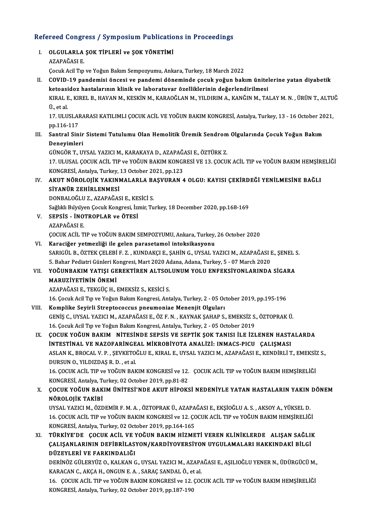# Refereed Congress / Symposium Publications in Proceedings<br>Refereed Congress / Symposium Publications in Proceedings

| Refereed Congress / Symposium Publications in Proceedings |                                                                                                                                                             |
|-----------------------------------------------------------|-------------------------------------------------------------------------------------------------------------------------------------------------------------|
| L                                                         | OLGULARLA ŞOK TİPLERİ ve ŞOK YÖNETİMİ<br>AZAPAĞASI E                                                                                                        |
|                                                           |                                                                                                                                                             |
|                                                           | Çocuk Acil Tıp ve Yoğun Bakım Sempozyumu, Ankara, Turkey, 18 March 2022                                                                                     |
| Н.                                                        | COVID-19 pandemisi öncesi ve pandemi döneminde çocuk yoğun bakım ünitelerine yatan diyabetik                                                                |
|                                                           | ketoasidoz hastalarının klinik ve laboratuvar özelliklerinin değerlendirilmesi                                                                              |
|                                                           | KIRAL E., KIREL B., HAVAN M., KESKİN M., KARAOĞLAN M., YILDIRIM A., KANĞIN M., TALAY M. N. , ÜRÜN T., ALTUĞ<br>Ü, et al.                                    |
|                                                           | 17. ULUSLARARASI KATILIMLI ÇOCUK ACİL VE YOĞUN BAKIM KONGRESİ, Antalya, Turkey, 13 - 16 October 2021,                                                       |
|                                                           | pp 116-117                                                                                                                                                  |
| III.                                                      | Santral Sinir Sistemi Tutulumu Olan Hemolitik Üremik Sendrom Olgularında Çocuk Yoğun Bakım                                                                  |
|                                                           | Deneyimleri                                                                                                                                                 |
|                                                           | GÜNGÖR T., UYSAL YAZICI M., KARAKAYA D., AZAPAĞASI E., ÖZTÜRK Z.                                                                                            |
|                                                           | 17. ULUSAL ÇOCUK ACİL TIP ve YOĞUN BAKIM KONGRESİ VE 13. ÇOCUK ACİL TIP ve YOĞUN BAKIM HEMŞİRELİĞİ                                                          |
|                                                           | KONGRESİ, Antalya, Turkey, 13 October 2021, pp.123                                                                                                          |
| IV.                                                       | AKUT NÖROLOJİK YAKINMALARLA BAŞVURAN 4 OLGU: KAYISI ÇEKİRDEĞİ YENİLMESİNE BAĞLI                                                                             |
|                                                           | SİYANÜR ZEHİRLENMESİ                                                                                                                                        |
|                                                           | DONBALOĞLU Z., AZAPAĞASI E., KESİCİ S.                                                                                                                      |
|                                                           | Sağlıklı Büyüyen Çocuk Kongresi, İzmir, Turkey, 18 December 2020, pp.168-169                                                                                |
| V.                                                        | SEPSIS - INOTROPLAR ve ÖTESI                                                                                                                                |
|                                                           | AZAPAĞASI E                                                                                                                                                 |
|                                                           | ÇOCUK ACİL TIP ve YOĞUN BAKIM SEMPOZYUMU, Ankara, Turkey, 26 October 2020                                                                                   |
| VI.                                                       | Karaciğer yetmezliği ile gelen parasetamol intoksikasyonu                                                                                                   |
|                                                           | SARIGÜL B., ÖZTEK ÇELEBİ F. Z., KUNDAKÇI E., ŞAHİN G., UYSAL YAZICI M., AZAPAĞASI E., ŞENEL S.                                                              |
|                                                           | 5. Bahar Pediatri Günleri Kongresi, Mart 2020 Adana, Adana, Turkey, 5 - 07 March 2020                                                                       |
| VII.                                                      | YOĞUNBAKIM YATIŞI GEREKTİREN ALTSOLUNUM YOLU ENFEKSİYONLARINDA SİGARA                                                                                       |
|                                                           | MARUZİYETİNİN ÖNEMİ                                                                                                                                         |
|                                                           | AZAPAĞASI E., TEKGÜÇ H., EMEKSİZ S., KESİCİ S.                                                                                                              |
| VIII.                                                     | 16. Çocuk Acil Tıp ve Yoğun Bakım Kongresi, Antalya, Turkey, 2 - 05 October 2019, pp.195-196<br>Komplike Seyirli Streptococcus pneumoniae Menenjit Olguları |
|                                                           | GENİŞ C., UYSAL YAZICI M., AZAPAĞASI E., ÖZ F. N., KAYNAK ŞAHAP S., EMEKSİZ S., ÖZTOPRAK Ü.                                                                 |
|                                                           | 16. Çocuk Acil Tıp ve Yoğun Bakım Kongresi, Antalya, Turkey, 2 - 05 October 2019                                                                            |
| IX.                                                       | ÇOCUK YOĞUN BAKIM NİTESİNDE SEPSİS VE SEPTİK ŞOK TANISI İLE İZLENEN HASTALARDA                                                                              |
|                                                           | INTESTINAL VE NAZOFARINGEAL MIKROBIYOTA ANALIZI: INMACS-PICU ÇALIŞMASI                                                                                      |
|                                                           | ASLAN K., BROCAL V. P., ŞEVKETOĞLU E., KIRAL E., UYSAL YAZICI M., AZAPAĞASI E., KENDİRLİ T., EMEKSİZ S.,                                                    |
|                                                           | DURSUN O., YILDIZDAŞ R.D., et al.                                                                                                                           |
|                                                           | 16. ÇOCUK ACİL TIP ve YOĞUN BAKIM KONGRESİ ve 12. ÇOCUK ACİL TIP ve YOĞUN BAKIM HEMŞİRELİĞİ                                                                 |
|                                                           | KONGRESİ, Antalya, Turkey, 02 October 2019, pp.81-82                                                                                                        |
| Χ.                                                        | ÇOCUK YOĞUN BAKIM ÜNİTESİ'NDE AKUT HİPOKSİ NEDENİYLE YATAN HASTALARIN YAKIN DÖNEM                                                                           |
|                                                           | NÖROLOJİK TAKİBİ                                                                                                                                            |
|                                                           | UYSAL YAZICI M., ÖZDEMİR F. M. A., ÖZTOPRAK Ü., AZAPAĞASI E., EKŞİOĞLU A. S., AKSOY A., YÜKSEL D.                                                           |
|                                                           | 16. ÇOCUK ACİL TIP ve YOĞUN BAKIM KONGRESİ ve 12. ÇOCUK ACİL TIP ve YOĞUN BAKIM HEMŞİRELİĞİ                                                                 |
|                                                           | KONGRESİ, Antalya, Turkey, 02 October 2019, pp.164-165                                                                                                      |
| XI.                                                       | TÜRKİYE'DE ÇOCUK ACİL VE YOĞUN BAKIM HİZMETİ VEREN KLİNİKLERDE ALIŞAN SAĞLIK                                                                                |
|                                                           | ÇALIŞANLARININ DEFİBRİLASYON/KARDİYOVERSİYON UYGULAMALARI HAKKINDAKİ BİLGİ                                                                                  |
|                                                           | DÜZEYLERİ VE FARKINDALIĞI                                                                                                                                   |
|                                                           | DERİNÖZ GÜLERYÜZ O., KALKAN G., UYSAL YAZICI M., AZAPAĞASI E., AŞILIOĞLU YENER N., ÜDÜRGÜCÜ M.,                                                             |
|                                                           | KARACAN C., AKÇA H., ONGUN E. A., SARAÇ SANDAL Ö., et al.                                                                                                   |
|                                                           | 16. ÇOCUK ACİL TIP ve YOĞUN BAKIM KONGRESİ ve 12. ÇOCUK ACİL TIP ve YOĞUN BAKIM HEMŞİRELİĞİ<br>ONCDESI Antolic Turkey 02 October 2010 np 107 100            |

KONGRESİ, Antalya, Turkey, 02 October 2019, pp.187-190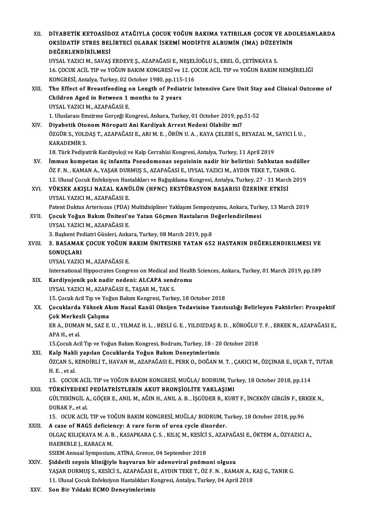| DİYABETİK KETOASİDOZ ATAĞIYLA ÇOCUK YOĞUN BAKIMA YATIRILAN ÇOCUK VE ADOLESANLARDA<br>OKSIDATIF STRES BELIRTECI OLARAK ISKEMI MODIFIYE ALBUMIN (IMA) DÜZEYININ<br>DEĞERLENDİRİLMESİ |
|------------------------------------------------------------------------------------------------------------------------------------------------------------------------------------|
| UYSAL YAZICI M., SAVAŞ ERDEVE Ş., AZAPAĞASI E., NEŞELİOĞLU S., EREL Ö., ÇETİNKAYA S.                                                                                               |
| 16. ÇOCUK ACİL TIP ve YOĞUN BAKIM KONGRESİ ve 12. ÇOCUK ACİL TIP ve YOĞUN BAKIM HEMŞİRELİĞİ                                                                                        |
| KONGRESİ, Antalya, Turkey, 02 October 1980, pp.115-116                                                                                                                             |
| The Effect of Breastfeeding on Length of Pediatric Intensive Care Unit Stay and Clinical Outcome of                                                                                |
| Children Aged in Between 1 months to 2 years                                                                                                                                       |
| UYSAL YAZICI M., AZAPAĞASI E.                                                                                                                                                      |
| 1. Uluslarası Emzirme Gerçeği Kongresi, Ankara, Turkey, 01 October 2019, pp.51-52                                                                                                  |
| Diyabetik Otonom Nöropati Ani Kardiyak Arrest Nedeni Olabilir mi?                                                                                                                  |
| ÖZGÜR S., YOLDAŞ T., AZAPAĞASI E., ARI M. E., ÖRÜN U. A., KAYA ÇELEBİ S., BEYAZAL M., SAYICI İ. U.,<br><b>KARADEMİR S.</b>                                                         |
| 18. Türk Pediyatrik Kardiyoloji ve Kalp Cerrahisi Kongresi, Antalya, Turkey, 11 April 2019                                                                                         |
| İmmun kompetan üç infantta Pseudomonas sepsisinin nadir bir belirtisi: Subkutan nodüller                                                                                           |
| ÖZ F. N., KAMAN A., YAŞAR DURMUŞ S., AZAPAĞASI E., UYSAL YAZICI M., AYDIN TEKE T., TANIR G.                                                                                        |
| 12. Ulusal Çocuk Enfeksiyon Hastalıkları ve Bağışıklama Kongresi, Antalya, Turkey, 27 - 31 March 2019                                                                              |
| YÜKSEK AKIŞLI NAZAL KANÜLÜN (HFNC) EKSTÜBASYON BAŞARISI ÜZERİNE ETKİSİ<br>UYSAL YAZICI M., AZAPAĞASI E.                                                                            |
| Patent Duktus Arteriozus (PDA) Multidisipliner Yaklaşım Sempozyumu, Ankara, Turkey, 13 March 2019                                                                                  |
| Çocuk Yoğun Bakım Ünitesi'ne Yatan Göçmen Hastaların Değerlendirilmesi                                                                                                             |
| UYSAL YAZICI M., AZAPAĞASI E.                                                                                                                                                      |
| 3. Başkent Pediatri Günleri, Ankara, Turkey, 08 March 2019, pp.8                                                                                                                   |
| 3. BASAMAK ÇOCUK YOĞUN BAKIM ÜNITESINE YATAN 652 HASTANIN DEĞERLENDIRILMESI VE                                                                                                     |
| SONUÇLARI                                                                                                                                                                          |
| UYSAL YAZICI M., AZAPAĞASI E.                                                                                                                                                      |
| International Hippocrates Congress on Medical and Health Sciences, Ankara, Turkey, 01 March 2019, pp.189                                                                           |
| Kardiyojenik şok nadir nedeni: ALCAPA sendromu                                                                                                                                     |
| UYSAL YAZICI M., AZAPAĞASI E., TAŞAR M., TAK S.                                                                                                                                    |
| 15. Çocuk Acil Tıp ve Yoğun Bakım Kongresi, Turkey, 18 October 2018                                                                                                                |
| Çocuklarda Yüksek Akım Nazal Kanül Oksijen Tedavisine Yanıtsızlığı Belirleyen Faktörler: Prospektif                                                                                |
| Çok Merkezli Çalışma                                                                                                                                                               |
| ER A., DUMAN M., SAZ E. U. , YILMAZ H. L. , BESLİ G. E. , YILDIZDAŞ R. D. , KÖROĞLU T. F. , ERKEK N., AZAPAĞASI E.,                                                                |
| APA H., et al.                                                                                                                                                                     |
| 15.Çocuk Acil Tıp ve Yoğun Bakım Kongresi, Bodrum, Turkey, 18 - 20 October 2018<br>Kalp Nakli yapılan Çocuklarda Yoğun Bakım Deneyimlerimiz                                        |
| ÖZCAN S., KENDİRLİ T., HAVAN M., AZAPAĞASI E., PERK O., DOĞAN M. T. , ÇAKICI M., ÖZÇINAR E., UÇAR T., TUTAR                                                                        |
| H.E., et al.                                                                                                                                                                       |
| 15. ÇOCUK ACİL TIP ve YOĞUN BAKIM KONGRESİ, MUĞLA/ BODRUM, Turkey, 18 October 2018, pp.114                                                                                         |
| TÜRKİYEDEKİ PEDİATRİSTLERİN AKUT BRONŞİOLİTE YAKLAŞIMI                                                                                                                             |
| GÜLTEKİNGİL A., GÖÇER E., ANIL M., AĞIN H., ANIL A. B., İŞGÜDER R., KURT F., İNCEKÖY GİRGİN F., ERKEK N.,                                                                          |
| DURAK F, et al.                                                                                                                                                                    |
| 15. OCUK ACİL TIP ve YOĞUN BAKIM KONGRESİ, MUĞLA/ BODRUM, Turkey, 18 October 2018, pp.96                                                                                           |
| A case of NAGS deficiency: A rare form of urea cycle disorder.                                                                                                                     |
| OLGAÇ KILIÇKAYA M. A. B. , KASAPKARA Ç. S. , KILIÇ M., KESİCİ S., AZAPAĞASI E., ÖKTEM A., ÖZYAZICI A.,                                                                             |
| HAEBERLE J., KARACA M.                                                                                                                                                             |
| SSIEM Annual Symposium, ATİNA, Greece, 04 September 2018                                                                                                                           |
| Şiddetli sepsis kliniğiyle başvuran bir adenoviral pnömoni olgusu                                                                                                                  |
| YAŞAR DURMUŞ S., KESİCİ S., AZAPAĞASI E., AYDIN TEKE T., ÖZ F. N., KAMAN A., KAŞ G., TANIR G.                                                                                      |
| 11. Ulusal Çocuk Enfeksiyon Hastalıkları Kongresi, Antalya, Turkey, 04 April 2018<br>Can Din Vuldalri ECMO Danarrimlanimin                                                         |
|                                                                                                                                                                                    |

XXV. Son Bir Yıldaki ECMO Deneyimlerimiz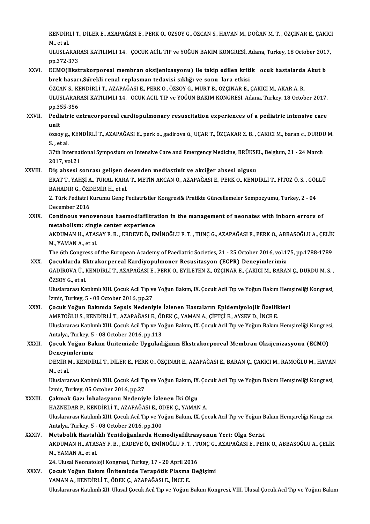KENDİRLİ T., DİLER E., AZAPAĞASI E., PERK O., ÖZSOY G., ÖZCAN S., HAVAN M., DOĞAN M. T. , ÖZÇINAR E., ÇAKICI<br>Mastal KENDIR<br>M., et al.<br>III USLA KENDİRLİ T., DİLER E., AZAPAĞASI E., PERK O., ÖZSOY G., ÖZCAN S., HAVAN M., DOĞAN M. T. , ÖZÇINAR E., ÇAKIC.<br>M., et al.<br>ULUSLARARASI KATILIMLI 14. ÇOCUK ACİL TIP ve YOĞUN BAKIM KONGRESİ, Adana, Turkey, 18 October 2017,<br>P

M., et al.<br>ULUSLARARASI KATILIMLI 14. ÇOCUK ACİL TIP ve YOĞUN BAKIM KONGRESİ, Adana, Turkey, 18 October 2017,<br>pp.372-373 ULUSLARARASI KATILIMLI 14. ÇOCUK ACİL TIP ve YOĞUN BAKIM KONGRESİ, Adana, Turkey, 18 October 201.<br>pp.372-373<br>XXVI. ECMO(Ekstrakorporeal membran oksijenizasyonu) ile takip edilen kritik ocuk hastalarda Akut b<br>hack hasarı Sü

## pp.372-373<br>ECMO(Ekstrakorporeal membran oksijenizasyonu) ile takip edilen kriti<br>brek hasarı,Sürekli renal replasman tedavisi sıklığı ve sonu lara etkisi<br>ÖZCAN S. KENDİRLİ T. AZARAČASLE, RERK O. ÖZSOV C. MURT R. ÖZCINAR E ECMO(Ekstrakorporeal membran oksijenizasyonu) ile takip edilen kritikµ ocuk hastalarda<br>brek hasarı,Sürekli renal replasman tedavisi sıklığı ve sonuµlara etkisi<br>ÖZCAN S., KENDİRLİ T., AZAPAĞASI E., PERK O., ÖZSOY G., MURT B

brek hasarı,Sürekli renal replasman tedavisi sıklığı ve sonu lara etkisi<br>ÖZCAN S., KENDİRLİ T., AZAPAĞASI E., PERK O., ÖZSOY G., MURT B., ÖZÇINAR E., ÇAKICI M., AKAR A. R.<br>ULUSLARARASI KATILIMLI 14. OCUK ACİL TIP ve YOĞ ÖZCAN S., KI<br>ULUSLARAR<br>pp.355-356<br>Bediatric o ULUSLARARASI KATILIMLI 14. OCUK ACIL TIP ve YOĞUN BAKIM KONGRESİ, Adana, Turkey, 18 October 2017,<br>pp.355-356<br>XXVII. Pediatric extracorporeal cardiopulmonary resuscitation experiences of a pediatric intensive care<br>...

## pp.3!<br>Pedi<br>äzse: Pediatric extracorporeal cardiopulmonary resuscitation experiences of a pediatric intensive care<br>unit<br>özsoy g., KENDİRLİ T., AZAPAĞASI E., perk o., gadirova ü., UÇAR T., ÖZÇAKAR Z. B. , ÇAKICI M., baran c., DURDU M.<br>S. et

unit<br>özsoy g., KENDİRLİ T., AZAPAĞASI E., perk o., gadirova ü., UÇAR T., ÖZÇAKAR Z. B. , ÇAKICI M., baran c., DURDU M.<br>S. , et al. özsoy g., KENDİRLİ T., AZAPAĞASI E., perk o., gadirova ü., UÇAR T., ÖZÇAKAR Z. B. , ÇAKICI M., baran c., DURDL<br>S. , et al.<br>37th International Symposium on Intensive Care and Emergency Medicine, BRÜKSEL, Belgium, 21 - 24 Ma

S., et al.<br>37th Internat<br>2017, vol.21<br>Dis absesis 37th International Symposium on Intensive Care and Emergency Medicine, BRÜKSE<br>2017, vol.21<br>XXVIII. Diş absesi sonrası gelişen desenden mediastinit ve akciğer absesi olgusu

2017, vol.21<br>Diş absesi sonrası gelişen desenden mediastinit ve akciğer absesi olgusu<br>ERAT T., YAHŞİ A., TURAL KARA T., METİN AKCAN Ö., AZAPAĞASI E., PERK O., KENDİRLİ T., FİTOZ Ö. S. , GÖLLÜ<br>RAHADIR G. ÖZDEMİR H. etel Diş absesi sonrası gelişen d<br>ERAT T., YAHŞİ A., TURAL KARA<br>BAHADIR G., ÖZDEMİR H., et al.<br>2. Türk Bedistri Kurumu Gana B ERAT T., YAHŞİ A., TURAL KARA T., METİN AKCAN Ö., AZAPAĞASI E., PERK O., KENDİRLİ T., FİTOZ Ö. S. , GÖL<br>BAHADIR G., ÖZDEMİR H., et al.<br>2. Türk Pediatri Kurumu Genç Pediatristler Kongresi& Pratikte Güncellemeler Sempozyumu,

BAHADIR G., ÖZ<mark>E</mark><br>2. Türk Pediatri F<br>December 2016<br>Contineus vens 2. Türk Pediatri Kurumu Genç Pediatristler Kongresi& Pratikte Güncellemeler Sempozyumu, Turkey, 2 - 04<br>December 2016<br>XXIX. Continous venovenous haemodiafiltration in the management of neonates with inborn errors of<br>matabel

### December 2016<br>XXIX. Continous venovenous haemodiafiltration in the management of neonates with inborn errors of<br>metabolism: single center experience Continous venovenous haemodiafiltration in the management of neonates with inborn errors of<br>metabolism: single center experience<br>AKDUMAN H., ATASAY F. B. , ERDEVE Ö., EMİNOĞLU F. T. , TUNÇ G., AZAPAĞASI E., PERK O., ABBASO

metabolism: singl<br>AKDUMAN H., ATAS<br>M., YAMAN A., et al.<br>The 6th Congress e AKDUMAN H., ATASAY F. B. , ERDEVE Ö., EMİNOĞLU F. T. , TUNÇ G., AZAPAĞASI E., PERK O., ABBASOĞLU A., ÇELİK<br>M., YAMAN A., et al.<br>The 6th Congress of the European Academy of Paediatric Societies, 21 - 25 October 2016, vol.17

M., YAMAN A., et al.<br>The 6th Congress of the European Academy of Paediatric Societies, 21 - 25 October 2016, vol.175, pp.1788-1789<br>XXX. Çocuklarda Ektrakorpereal Kardiyopulmoner Resusitasyon (ECPR) Deneyimlerimiz

#### GADİROVA Ü., KENDİRLİ T., AZAPAĞASI E., PERK O., EYİLETEN Z., ÖZÇINAR E., ÇAKICI M., BARAN Ç., DURDU M. S. ,<br>ÖZSOY G., et al Çocuklarda Ektrakorpereal Kardiyopulmoner Resusitasyon (ECPR) Deneyimlerimiz GADİROVA Ü., KENDİRLİ T., AZAPAĞASI E., PERK O., EYİLETEN Z., ÖZÇINAR E., ÇAKICI M., BARAN Ç., DURDU M. S. ,<br>ÖZSOY G., et al.<br>Uluslararası Katılımlı XIII. Çocuk Acil Tıp ve Yoğun Bakım, IX. Çocuk Acil Tıp ve Yoğun Bakım He

ÖZSOY G., et al.<br>Uluslararası Katılımlı XIII. Çocuk Acil Tıp ve<br>İzmir, Turkey, 5 - 08 October 2016, pp.27<br>Cosuk Yoğun Bakımda Sansis Nadani: Uluslararası Katılımlı XIII. Çocuk Acil Tıp ve Yoğun Bakım, IX. Çocuk Acil Tıp ve Yoğun Bakım Hem<br>İzmir, Turkey, 5 - 08 October 2016, pp.27<br>XXXI. Cocuk Yoğun Bakımda Sepsis Nedeniyle İzlenen Hastaların Epidemiyolojik Özell

### İzmir, Turkey, 5 - 08 October 2016, pp.27<br>Çocuk Yoğun Bakımda Sepsis Nedeniyle İzlenen Hastaların Epidemiyolojik Özellil<br>AMETOĞLU S., KENDİRLİ T., AZAPAĞASI E., ÖDEK Ç., YAMAN A., ÇİFTÇİ E., AYSEV D., İNCE E.<br>Uluslararası Çocuk Yoğun Bakımda Sepsis Nedeniyle İzlenen Hastaların Epidemiyolojik Özellikleri<br>AMETOĞLU S., KENDİRLİ T., AZAPAĞASI E., ÖDEK Ç., YAMAN A., ÇİFTÇİ E., AYSEV D., İNCE E.<br>Uluslararası Katılımlı XIII. Çocuk Acil Tıp ve Yoğu AMETOĞLU S., KENDİRLİ T., AZAPAĞASI E., ÖI<br>Uluslararası Katılımlı XIII. Çocuk Acil Tıp ve Yo<br>Antalya, Turkey, 5 - 08 October 2016, pp.113<br>Cosuk Yožun Bakım Ünitamirde Uygulad

### Uluslararası Katılımlı XIII. Çocuk Acil Tıp ve Yoğun Bakım, IX. Çocuk Acil Tıp ve Yoğun Bakım Hemşireliği Kongres<br>Antalya, Turkey, 5 - 08 October 2016, pp.113<br>XXXII. Çocuk Yoğun Bakım Ünitemizde Uyguladığımız Ekstrakor Antalya, Turkey, 5<br>Çocuk Yoğun Ba<br>Deneyimlerimiz<br>DEMİR M. KENDİI Çocuk Yoğun Bakım Ünitemizde Uyguladığımız Ekstrakorporeal Membran Oksijenizasyonu (ECMO)<br>Deneyimlerimiz<br>DEMİR M., KENDİRLİ T., DİLER E., PERK O., ÖZÇINAR E., AZAPAĞASI E., BARAN Ç., ÇAKICI M., RAMOĞLU M., HAVAN<br>Mastal

Deneyii<br>DEMİR M.,<br>M., et al. DEMİR M., KENDİRLİ T., DİLER E., PERK O., ÖZÇINAR E., AZAPAĞASI E., BARAN Ç., ÇAKICI M., RAMOĞLU M., HAVAN<br>M., et al.<br>Uluslararası Katılımlı XIII. Çocuk Acil Tıp ve Yoğun Bakım, IX. Çocuk Acil Tıp ve Yoğun Bakım Hemşireliğ

M., et al.<br>Uluslararası Katılımlı XIII. Çocuk Acil Tıp ve Yoğun Bakım, IX. Çocuk Acil Tıp ve Yoğun Bakım Hemşireliği Kongresi,<br>İzmir, Turkey, 05 October 2016, pp.27

#### XXXIII. Çakmak Gazı İnhalasyonu Nedeniyle İzlenen İki Olgu İzmir, Turkey, 05 October 2016, pp.27<br>Çakmak Gazı İnhalasyonu Nedeniyle İzlenen İki Olgu<br>HAZNEDAR P., KENDİRLİ T., AZAPAĞASI E., ÖDEK Ç., YAMAN A.<br>Hluslararesi Katılımlı YIII. Cesuk Asil Tın ve Yoğun Balam IV. Ce Çakmak Gazı İnhalasyonu Nedeniyle İzlenen İki Olgu<br>HAZNEDAR P., KENDİRLİ T., AZAPAĞASI E., ÖDEK Ç., YAMAN A.<br>Uluslararası Katılımlı XIII. Çocuk Acil Tıp ve Yoğun Bakım, IX. Çocuk Acil Tıp ve Yoğun Bakım Hemşireliği Kongres HAZNEDAR P., KENDİRLİ T., AZAPAĞASI E., Öl<br>Uluslararası Katılımlı XIII. Çocuk Acil Tıp ve Yo<br>Antalya, Turkey, 5 - 08 October 2016, pp.100<br>Matabalik Hastalıklı Yanidağanlarda Har Uluslararası Katılımlı XIII. Çocuk Acil Tıp ve Yoğun Bakım, IX. Çocuk Acil Tıp ve Yoğun B<br>Antalya, Turkey, 5 - 08 October 2016, pp.100<br>XXXIV. Metabolik Hastalıklı Yenidoğanlarda Hemodiyafiltrasyonun Yeri: Olgu Serisi

### Antalya, Turkey, 5 - 08 October 2016, pp.100<br>Metabolik Hastalıklı Yenidoğanlarda Hemodiyafiltrasyonun Yeri: Olgu Serisi<br>AKDUMAN H., ATASAY F. B. , ERDEVE Ö., EMİNOĞLU F. T. , TUNÇ G., AZAPAĞASI E., PERK O., ABBASOĞLU A., Ç Metabolik Hastalıklı Yenidoğanlarda Hemodiyafiltrasyonun Yeri: Olgu Serisi<br>AKDUMAN H., ATASAY F. B. , ERDEVE Ö., EMİNOĞLU F. T. , TUNÇ G., AZAPAĞASI E., PER<br>M., YAMAN A., et al. AKDUMAN H., ATASAY F. B. , ERDEVE Ö., EMİNOĞLU F. T. , T.<br>M., YAMAN A., et al.<br>24. Ulusal Neonatoloji Kongresi, Turkey, 17 - 20 April 2016<br>Cosuk Yoğun Bakım Ünitemirde Terenötik Plesme De

24. Ulusal Neonatoloji Kongresi, Turkey, 17 - 20 April 2016

#### XXXV. Çocuk Yoğun Bakım Ünitemizde Terapötik Plasma Değişimi<br>YAMAN A., KENDİRLİ T., ÖDEK Ç., AZAPAĞASI E., İNCE E. Uluslararası Katılımlı XII. Ulusal Çocuk Acil Tıp ve Yoğun Bakım Kongresi, VIII. Ulusal Çocuk Acil Tıp ve Yoğun Bakım